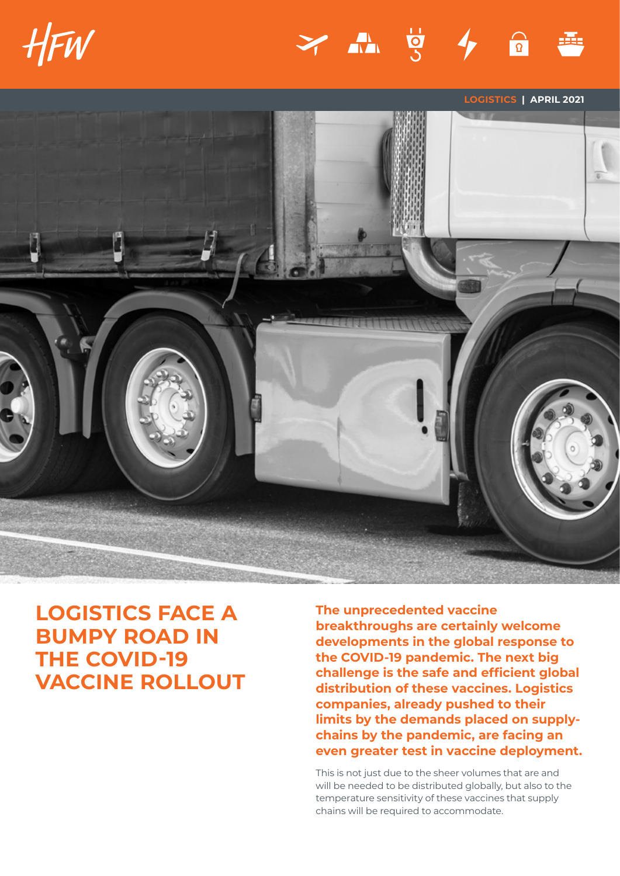





# **LOGISTICS FACE A BUMPY ROAD IN THE COVID-19 VACCINE ROLLOUT**

**The unprecedented vaccine breakthroughs are certainly welcome developments in the global response to the COVID-19 pandemic. The next big challenge is the safe and efficient global distribution of these vaccines. Logistics companies, already pushed to their limits by the demands placed on supplychains by the pandemic, are facing an even greater test in vaccine deployment.** 

This is not just due to the sheer volumes that are and will be needed to be distributed globally, but also to the temperature sensitivity of these vaccines that supply chains will be required to accommodate.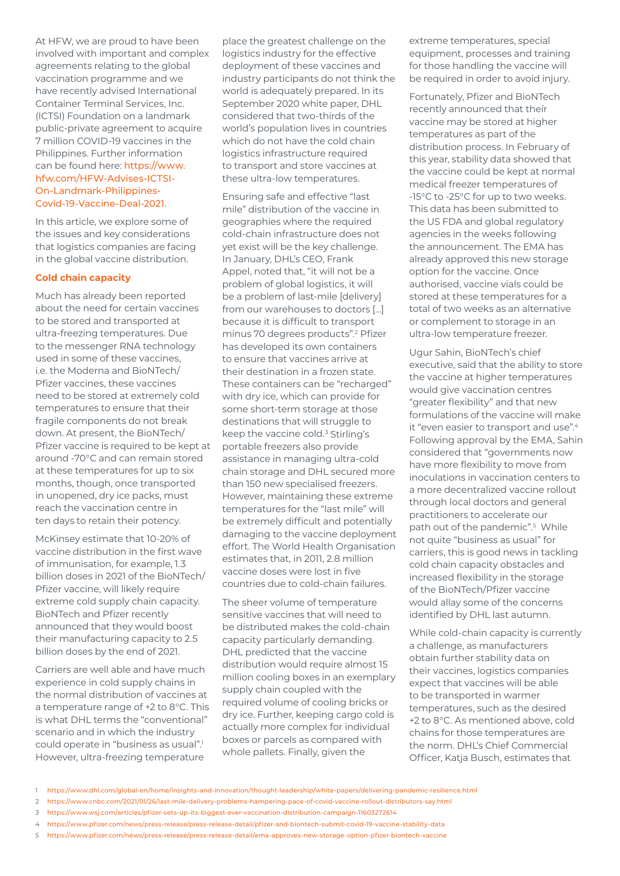At HFW, we are proud to have been involved with important and complex agreements relating to the global vaccination programme and we have recently advised International Container Terminal Services, Inc. (ICTSI) Foundation on a landmark public-private agreement to acquire 7 million COVID-19 vaccines in the Philippines. Further information can be found here: [https://www.](https://www.hfw.com/HFW-Advises-ICTSI-On-Landmark-Philippines-Covid-19-Vaccine-Deal-2021) [hfw.com/HFW-Advises-ICTSI-](https://www.hfw.com/HFW-Advises-ICTSI-On-Landmark-Philippines-Covid-19-Vaccine-Deal-2021)[On-Landmark-Philippines-](https://www.hfw.com/HFW-Advises-ICTSI-On-Landmark-Philippines-Covid-19-Vaccine-Deal-2021)[Covid-19-Vaccine-Deal-2021.](https://www.hfw.com/HFW-Advises-ICTSI-On-Landmark-Philippines-Covid-19-Vaccine-Deal-2021)

In this article, we explore some of the issues and key considerations that logistics companies are facing in the global vaccine distribution.

## **Cold chain capacity**

Much has already been reported about the need for certain vaccines to be stored and transported at ultra-freezing temperatures. Due to the messenger RNA technology used in some of these vaccines, i.e. the Moderna and BioNTech/ Pfizer vaccines, these vaccines need to be stored at extremely cold temperatures to ensure that their fragile components do not break down. At present, the BioNTech/ Pfizer vaccine is required to be kept at around -70°C and can remain stored at these temperatures for up to six months, though, once transported in unopened, dry ice packs, must reach the vaccination centre in ten days to retain their potency.

McKinsey estimate that 10-20% of vaccine distribution in the first wave of immunisation, for example, 1.3 billion doses in 2021 of the BioNTech/ Pfizer vaccine, will likely require extreme cold supply chain capacity. BioNTech and Pfizer recently announced that they would boost their manufacturing capacity to 2.5 billion doses by the end of 2021.

Carriers are well able and have much experience in cold supply chains in the normal distribution of vaccines at a temperature range of +2 to 8°C. This is what DHL terms the "conventional" scenario and in which the industry could operate in "business as usual".<sup>1</sup> However, ultra-freezing temperature

place the greatest challenge on the logistics industry for the effective deployment of these vaccines and industry participants do not think the world is adequately prepared. In its September 2020 white paper, DHL considered that two-thirds of the world's population lives in countries which do not have the cold chain logistics infrastructure required to transport and store vaccines at these ultra-low temperatures.

Ensuring safe and effective "last mile" distribution of the vaccine in geographies where the required cold-chain infrastructure does not yet exist will be the key challenge. In January, DHL's CEO, Frank Appel, noted that, "it will not be a problem of global logistics, it will be a problem of last-mile [delivery] from our warehouses to doctors […] because it is difficult to transport minus 70 degrees products".<sup>2</sup> Pfizer has developed its own containers to ensure that vaccines arrive at their destination in a frozen state. These containers can be "recharged" with dry ice, which can provide for some short-term storage at those destinations that will struggle to keep the vaccine cold.<sup>3</sup> Stirling's portable freezers also provide assistance in managing ultra-cold chain storage and DHL secured more than 150 new specialised freezers. However, maintaining these extreme temperatures for the "last mile" will be extremely difficult and potentially damaging to the vaccine deployment effort. The World Health Organisation estimates that, in 2011, 2.8 million vaccine doses were lost in five countries due to cold-chain failures.

The sheer volume of temperature sensitive vaccines that will need to be distributed makes the cold-chain capacity particularly demanding. DHL predicted that the vaccine distribution would require almost 15 million cooling boxes in an exemplary supply chain coupled with the required volume of cooling bricks or dry ice. Further, keeping cargo cold is actually more complex for individual boxes or parcels as compared with whole pallets. Finally, given the

extreme temperatures, special equipment, processes and training for those handling the vaccine will be required in order to avoid injury.

Fortunately, Pfizer and BioNTech recently announced that their vaccine may be stored at higher temperatures as part of the distribution process. In February of this year, stability data showed that the vaccine could be kept at normal medical freezer temperatures of -15°C to -25°C for up to two weeks. This data has been submitted to the US FDA and global regulatory agencies in the weeks following the announcement. The EMA has already approved this new storage option for the vaccine. Once authorised, vaccine vials could be stored at these temperatures for a total of two weeks as an alternative or complement to storage in an ultra-low temperature freezer.

Ugur Sahin, BioNTech's chief executive, said that the ability to store the vaccine at higher temperatures would give vaccination centres "greater flexibility" and that new formulations of the vaccine will make it "even easier to transport and use".<sup>4</sup> Following approval by the EMA, Sahin considered that "governments now have more flexibility to move from inoculations in vaccination centers to a more decentralized vaccine rollout through local doctors and general practitioners to accelerate our path out of the pandemic".5 While not quite "business as usual" for carriers, this is good news in tackling cold chain capacity obstacles and increased flexibility in the storage of the BioNTech/Pfizer vaccine would allay some of the concerns identified by DHL last autumn.

While cold-chain capacity is currently a challenge, as manufacturers obtain further stability data on their vaccines, logistics companies expect that vaccines will be able to be transported in warmer temperatures, such as the desired +2 to 8°C. As mentioned above, cold chains for those temperatures are the norm. DHL's Chief Commercial Officer, Katja Busch, estimates that

- 4 <https://www.pfizer.com/news/press-release/press-release-detail/pfizer-and-biontech-submit-covid-19-vaccine-stability-data>
- 5 <https://www.pfizer.com/news/press-release/press-release-detail/ema-approves-new-storage-option-pfizer-biontech-vaccine>

<sup>1</sup> <https://www.dhl.com/global-en/home/insights-and-innovation/thought-leadership/white-papers/delivering-pandemic-resilience.html>

<sup>2</sup> <https://www.cnbc.com/2021/01/26/last-mile-delivery-problems-hampering-pace-of-covid-vaccine-rollout-distributors-say.html>

<sup>3</sup> <https://www.wsj.com/articles/pfizer-sets-up-its-biggest-ever-vaccination-distribution-campaign-11603272614>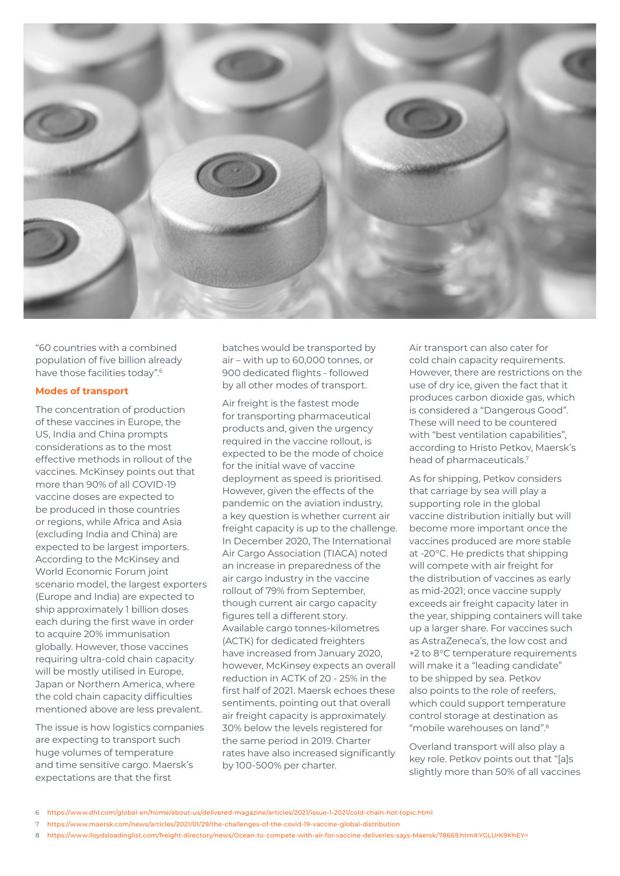

"60 countries with a combined population of five billion already have those facilities today".6

## **Modes of transport**

The concentration of production of these vaccines in Europe, the US, India and China prompts considerations as to the most effective methods in rollout of the vaccines. McKinsey points out that more than 90% of all COVID-19 vaccine doses are expected to be produced in those countries or regions, while Africa and Asia (excluding India and China) are expected to be largest importers. According to the McKinsey and World Economic Forum joint scenario model, the largest exporters (Europe and India) are expected to ship approximately 1 billion doses each during the first wave in order to acquire 20% immunisation globally. However, those vaccines requiring ultra-cold chain capacity will be mostly utilised in Europe, Japan or Northern America, where the cold chain capacity difficulties mentioned above are less prevalent.

The issue is how logistics companies are expecting to transport such huge volumes of temperature and time sensitive cargo. Maersk's expectations are that the first

batches would be transported by air – with up to 60,000 tonnes, or 900 dedicated flights - followed by all other modes of transport.

Air freight is the fastest mode for transporting pharmaceutical products and, given the urgency required in the vaccine rollout, is expected to be the mode of choice for the initial wave of vaccine deployment as speed is prioritised. However, given the effects of the pandemic on the aviation industry, a key question is whether current air freight capacity is up to the challenge. In December 2020, The International Air Cargo Association (TIACA) noted an increase in preparedness of the air cargo industry in the vaccine rollout of 79% from September, though current air cargo capacity figures tell a different story. Available cargo tonnes-kilometres (ACTK) for dedicated freighters have increased from January 2020, however, McKinsey expects an overall reduction in ACTK of 20 - 25% in the first half of 2021. Maersk echoes these sentiments, pointing out that overall air freight capacity is approximately 30% below the levels registered for the same period in 2019. Charter rates have also increased significantly by 100-500% per charter.

Air transport can also cater for cold chain capacity requirements. However, there are restrictions on the use of dry ice, given the fact that it produces carbon dioxide gas, which is considered a "Dangerous Good". These will need to be countered with "best ventilation capabilities", according to Hristo Petkov, Maersk's head of pharmaceuticals.7

As for shipping, Petkov considers that carriage by sea will play a supporting role in the global vaccine distribution initially but will become more important once the vaccines produced are more stable at -20°C. He predicts that shipping will compete with air freight for the distribution of vaccines as early as mid-2021; once vaccine supply exceeds air freight capacity later in the year, shipping containers will take up a larger share. For vaccines such as AstraZeneca's, the low cost and +2 to 8°C temperature requirements will make it a "leading candidate" to be shipped by sea. Petkov also points to the role of reefers, which could support temperature control storage at destination as "mobile warehouses on land".8

Overland transport will also play a key role. Petkov points out that "[a]s slightly more than 50% of all vaccines

- 7 <https://www.maersk.com/news/articles/2021/01/29/the-challenges-of-the-covid-19-vaccine-global-distribution>
- 8 <https://www.lloydsloadinglist.com/freight-directory/news/Ocean-to-compete-with-air-for-vaccine-deliveries-says-Maersk/78669.htm#.YGLUrK9KhEY>>

<sup>6</sup> <https://www.dhl.com/global-en/home/about-us/delivered-magazine/articles/2021/issue-1-2021/cold-chain-hot-topic.html>